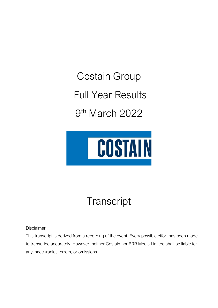Costain Group Full Year Results 9 th March 2022



## **Transcript**

Disclaimer

This transcript is derived from a recording of the event. Every possible effort has been made to transcribe accurately. However, neither Costain nor BRR Media Limited shall be liable for any inaccuracies, errors, or omissions.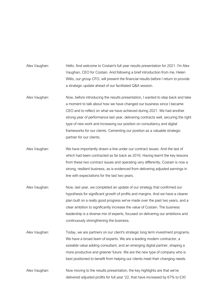Alex Vaughan: Hello. And welcome to Costain's full year results presentation for 2021. I'm Alex Vaughan, CEO for Costain. And following a brief introduction from me, Helen Willis, our group CFO, will present the financial results before I return to provide a strategic update ahead of our facilitated Q&A session.

- Alex Vaughan: Now, before introducing the results presentation, I wanted to step back and take a moment to talk about how we have changed our business since I became CEO and to reflect on what we have achieved during 2021. We had another strong year of performance last year, delivering contracts well, securing the right type of new work and increasing our position on consultancy and digital frameworks for our clients. Cementing our position as a valuable strategic partner for our clients.
- Alex Vaughan: We have importantly drawn a line under our contract issues. And the last of which had been contracted as far back as 2016. Having learnt the key lessons from these two contract issues and operating very differently, Costain is now a strong, resilient business, as is evidenced from delivering adjusted earnings in line with expectations for the last two years.
- Alex Vaughan: Now, last year, we completed an update of our strategy that confirmed our hypothesis for significant growth of profits and margins. And we have a clearer plan built on a really good progress we've made over the past two years, and a clear ambition to significantly increase the value of Costain. The business leadership is a diverse mix of experts, focused on delivering our ambitions and continuously strengthening the business.
- Alex Vaughan: Today, we are partners on our client's strategic long term investment programs. We have a broad team of experts. We are a leading modern contractor, a sizeable value adding consultant, and an emerging digital partner, shaping a more productive and greener future. We are the new type of company who is best positioned to benefit from helping our clients meet their changing needs.
- Alex Vaughan: Now moving to the results presentation, the key highlights are that we've delivered adjusted profits for full year '22, that have increased by 67% to £30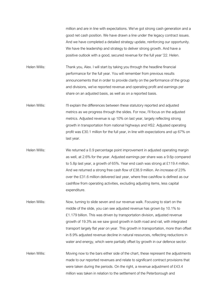million and are in line with expectations. We've got strong cash generation and a good net cash position. We have drawn a line under the legacy contract issues. And we have completed a detailed strategy update, reinforcing our opportunity. We have the leadership and strategy to deliver strong growth. And have a positive outlook with a good, secured revenue for the full year '22. Helen.

Helen Willis: Thank you, Alex. I will start by taking you through the headline financial performance for the full year. You will remember from previous results announcements that in order to provide clarity on the performance of the group and divisions, we've reported revenue and operating profit and earnings per share on an adjusted basis, as well as on a reported basis.

Helen Willis: I'll explain the differences between these statutory reported and adjusted metrics as we progress through the slides. For now, I'll focus on the adjusted metrics. Adjusted revenue is up 10% on last year, largely reflecting strong growth in transportation from national highways and HS2. Adjusted operating profit was £30.1 million for the full year, in line with expectations and up 67% on last year.

- Helen Willis: We returned a 0.9 percentage point improvement in adjusted operating margin as well, at 2.6% for the year. Adjusted earnings per share was a 9.6p compared to 5.8p last year, a growth of 65%. Year end cash was strong at £119.4 million. And we returned a strong free cash flow of £38.9 million. An increase of 23% over the £31.6 million delivered last year, where free cashflow is defined as our cashflow from operating activities, excluding adjusting items, less capital expenditure.
- Helen Willis: Now, turning to slide seven and our revenue walk. Focusing to start on the middle of the slide, you can see adjusted revenue has grown by 10.1% to £1.179 billion. This was driven by transportation division, adjusted revenue growth of 19.3% as we saw good growth in both road and rail, with integrated transport largely flat year on year. This growth in transportation, more than offset in 8.9% adjusted revenue decline in natural resources, reflecting reductions in water and energy, which were partially offset by growth in our defence sector.

Helen Willis: Moving now to the bars either side of the chart, these represent the adjustments made to our reported revenues and relate to significant contract provisions that were taken during the periods. On the right, a revenue adjustment of £43.4 million was taken in relation to the settlement of the Peterborough and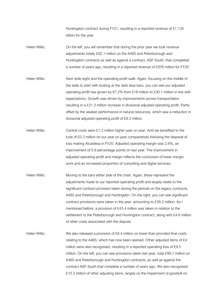Huntingdon contract during FY21, resulting in a reported revenue of £1.135 billion for the year.

- Helen Willis: On the left, you will remember that during the prior year we took revenue adjustments totally £92.1 million on the A465 and Peterborough and Huntingdon contracts as well as against a contract, ASF South, that completed a number of years ago, resulting in a reported revenue of £978 million for FY20.
- Helen Willis: Next slide eight and the operating profit walk. Again, focusing on the middle of the slide to start with looking at the dark blue bars, you can see our adjusted operating profit has grown by 67.2% from £18 million to £30.1 million in line with expectations. Growth was driven by improvements across transportation resulting in a £21.3 million increase in divisional adjusted operating profit. Partly offset by the weaker performance in natural resources, which saw a reduction in divisional adjusted operating profit of £8.3 million.
- Helen Willis: Central costs were £1.2 million higher year on year. And we benefited to the tune of £0.3 million on our year on year comparatives following the disposal of loss making Alcaidesa in FY20. Adjusted operating margin was 2.6%, an improvement of 0.9 percentage points on last year. The improvement in adjusted operating profit and margin reflects the conclusion of lower margin work and an increased proportion of consulting and digital services.
- Helen Willis: Moving to the bars either side of the chart. Again, these represent the adjustments made to our reported operating profit and largely relate to the significant contract provision taken during the periods on the legacy contracts, A465 and Peterborough and Huntingdon. On the right, you can see significant contract provisions were taken in the year, amounting to £39.2 million. As I mentioned before, a provision of £43.4 million was taken in relation to the settlement to the Peterborough and Huntingdon contract, along with £4.6 million of other costs associated with the dispute.
- Helen Willis: We also released a provision of £8.4 million on lower than provided final costs relating to the A465, which has now been opened. Other adjusted items of £4 million were also recognised, resulting in a reported operating loss of £9.5 million. On the left, you can see provisions taken last year, total £99.7 million on A465 and Peterborough and Huntingdon contracts, as well as against the contract ASF South that complete a number of years ago. We also recognised £10.3 million of other adjusting items, largely on the impairment of goodwill on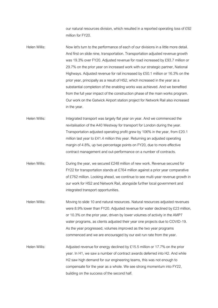our natural resources division, which resulted in a reported operating loss of £92 million for FY20.

- Helen Willis: Now let's turn to the performance of each of our divisions in a little more detail. And first on slide nine, transportation. Transportation adjusted revenue growth was 19.3% over FY20. Adjusted revenue for road increased by £93.7 million or 29.7% on the prior year on increased work with our strategic partner, National Highways. Adjusted revenue for rail increased by £50.1 million or 16.3% on the prior year, principally as a result of HS2, which increased in the year as a substantial completion of the enabling works was achieved. And we benefited from the full year impact of the construction phase of the main works program. Our work on the Gatwick Airport station project for Network Rail also increased in the year.
- Helen Willis: Integrated transport was largely flat year on year. And we commenced the revitalisation of the A40 Westway for transport for London during the year. Transportation adjusted operating profit grew by 106% in the year, from £20.1 million last year to £41.4 million this year. Returning an adjusted operating margin of 4.8%, up two percentage points on FY20, due to more effective contract management and out-performance on a number of contracts.
- Helen Willis: During the year, we secured £248 million of new work. Revenue secured for FY22 for transportation stands at £764 million against a prior year comparative of £762 million. Looking ahead, we continue to see multi-year revenue growth in our work for HS2 and Network Rail, alongside further local government and integrated transport opportunities.
- Helen Willis: Moving to slide 10 and natural resources. Natural resources adjusted revenues were 8.9% lower than FY20. Adjusted revenue for water declined by £23 million, or 10.3% on the prior year, driven by lower volumes of activity in the AMP7 water programs, as clients adjusted their year one projects due to COVID-19. As the year progressed, volumes improved as the two year programs commenced and we are encouraged by our exit run rate from the year.
- Helen Willis: Adjusted revenue for energy declined by £15.5 million or 17.7% on the prior year. In H1, we saw a number of contract awards deferred into H2. And while H2 saw high demand for our engineering teams, this was not enough to compensate for the year as a whole. We see strong momentum into FY22, building on the success of the second half.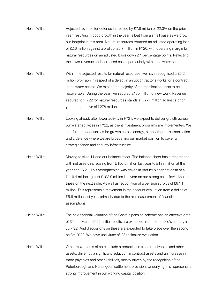- Helen Willis: Adjusted revenue for defence increased by £7.8 million or 22.3% on the prior year, resulting in good growth in the year, albeit from a small base as we grow our footprint in this area. Natural resources returned an adjusted operating loss of £2.6 million against a profit of £5.7 million in FY20, with operating margin for natural resources on an adjusted basis down 2.1 percentage points. Reflecting the lower revenue and increased costs, particularly within the water sector.
- Helen Willis: Within the adjusted results for natural resources, we have recognised a £6.2 million provision in respect of a defect in a subcontractor's works for a contract in the water sector. We expect the majority of the rectification costs to be recoverable. During the year, we secured £185 million of new work. Revenue secured for FY22 for natural resources stands at £271 million against a prior year comparative of £278 million.
- Helen Willis: Looking ahead, after lower activity in FY21, we expect to deliver growth across our water activities in FY22, as client investment programs are implemented. We see further opportunities for growth across energy, supporting de-carbonisation and a defence where we are broadening our market position to cover all strategic fence and security infrastructure.
- Helen Willis: Moving to slide 11 and our balance sheet. The balance sheet has strengthened, with net assets increasing from £156.5 million last year to £199 million at the year end FY21. This strengthening was driven in part by higher net cash of a £119.4 million against £102.9 million last year on our strong cash flows. More on these on the next slide. As well as recognition of a pension surplus of £67.1 million. This represents a movement in the account evaluation from a deficit of £5.6 million last year, primarily due to the re-measurement of financial assumptions.
- Helen Willis: The next triennial valuation of the Costain pension scheme has an effective date of 31st of March 2022. Initial results are expected from the trustee's actuary in July '22. And discussions on these are expected to take place over the second half of 2022. We have until June of '23 to finalise evaluation.
- Helen Willis: Other movements of note include a reduction in trade receivables and other assets, driven by a significant reduction in contract assets and an increase in trade payables and other liabilities, mostly driven by the recognition of the Peterborough and Huntingdon settlement provision. Underlying this represents a strong improvement in our working capital position.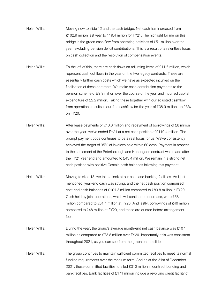Helen Willis: Moving now to slide 12 and the cash bridge. Net cash has increased from £102.9 million last year to 119.4 million for FY21. The highlight for me on this bridge is the green cash flow from operating activities of £51 million over the year, excluding pension deficit contributions. This is a result of a relentless focus on cash collection and the resolution of compensation events.

Helen Willis: To the left of this, there are cash flows on adjusting items of £11.6 million, which represent cash out flows in the year on the two legacy contracts. These are essentially further cash costs which we have as expected incurred on the finalisation of these contracts. We make cash contribution payments to the pension scheme of £9.9 million over the course of the year and incurred capital expenditure of £2.2 million. Taking these together with our adjusted cashflow from operations results in our free cashflow for the year of £38.9 million, up 23% on FY20.

Helen Willis: After lease payments of £10.8 million and repayment of borrowings of £8 million over the year, we've ended FY21 at a net cash position of £119.4 million. The prompt payment code continues to be a real focus for us. We've consistently achieved the target of 95% of invoices paid within 60 days. Payment in respect to the settlement of the Peterborough and Huntingdon contract was made after the FY21 year end and amounted to £43.4 million. We remain in a strong net cash position with positive Costain cash balances following this payment.

Helen Willis: Moving to slide 13, we take a look at our cash and banking facilities. As I just mentioned, year-end cash was strong, and the net cash position comprised: cost-end cash balances of £101.3 million compared to £89.8 million in FY20. Cash held by joint operations, which will continue to decrease, were £58.1 million compared to £61.1 million at FY20. And lastly, borrowings of £40 million compared to £48 million at FY20, and these are quoted before arrangement fees.

Helen Willis: During the year, the group's average month-end net cash balance was £107 million as compared to £73.8 million over FY20. Importantly, this was consistent throughout 2021, as you can see from the graph on the slide.

Helen Willis: The group continues to maintain sufficient committed facilities to meet its normal funding requirements over the medium term. And as at the 31st of December 2021, these committed facilities totalled £310 million in contract bonding and bank facilities. Bank facilities of £171 million include a revolving credit facility of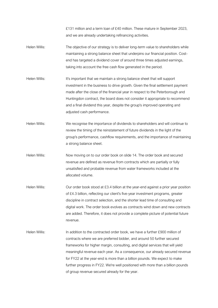£131 million and a term loan of £40 million. These mature in September 2023, and we are already undertaking refinancing activities.

- Helen Willis: The objective of our strategy is to deliver long-term value to shareholders while maintaining a strong balance sheet that underpins our financial position. Costend has targeted a dividend cover of around three times adjusted earnings, taking into account the free cash flow generated in the period.
- Helen Willis: It's important that we maintain a strong balance sheet that will support investment in the business to drive growth. Given the final settlement payment made after the close of the financial year in respect to the Peterborough and Huntingdon contract, the board does not consider it appropriate to recommend and a final dividend this year, despite the group's improved operating and adjusted cash performance.
- Helen Willis: We recognise the importance of dividends to shareholders and will continue to review the timing of the reinstatement of future dividends in the light of the group's performance, cashflow requirements, and the importance of maintaining a strong balance sheet.
- Helen Willis: Now moving on to our order book on slide 14. The order book and secured revenue are defined as revenue from contracts which are partially or fully unsatisfied and probable revenue from water frameworks included at the allocated volume.
- Helen Willis: Our order book stood at £3.4 billion at the year-end against a prior year position of £4.3 billion, reflecting our client's five-year investment programs, greater discipline in contract selection, and the shorter lead time of consulting and digital work. The order book evolves as contracts wind down and new contracts are added. Therefore, it does not provide a complete picture of potential future revenue.
- Helen Willis: In addition to the contracted order book, we have a further £900 million of contracts where we are preferred bidder, and around 50 further secured frameworks for higher margin, consulting, and digital services that will yield meaningful revenue each year. As a consequence, our already secured revenue for FY22 at the year-end is more than a billion pounds. We expect to make further progress in FY22. We're well positioned with more than a billion pounds of group revenue secured already for the year.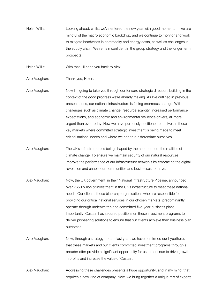Helen Willis: Looking ahead, whilst we've entered the new year with good momentum, we are mindful of the macro economic backdrop, and we continue to monitor and work to mitigate headwinds in commodity and energy costs, as well as challenges in the supply chain. We remain confident in the group strategy and the longer term prospects.

Helen Willis: With that, I'll hand you back to Alex.

Alex Vaughan: Thank you, Helen.

Alex Vaughan: Now I'm going to take you through our forward strategic direction, building in the context of the good progress we're already making. As I've outlined in previous presentations, our national infrastructure is facing enormous change. With challenges such as climate change, resource scarcity, increased performance expectations, and economic and environmental resilience drivers, all more urgent than ever today. Now we have purposely positioned ourselves in those key markets where committed strategic investment is being made to meet critical national needs and where we can true differentiate ourselves.

- Alex Vaughan: The UK's infrastructure is being shaped by the need to meet the realities of climate change. To ensure we maintain security of our natural resources, improve the performance of our infrastructure networks by embracing the digital revolution and enable our communities and businesses to thrive.
- Alex Vaughan: Now, the UK government, in their National Infrastructure Pipeline, announced over £650 billion of investment in the UK's infrastructure to meet these national needs. Our clients, those blue-chip organisations who are responsible for providing our critical national services in our chosen markets, predominantly operate through underwritten and committed five-year business plans. Importantly, Costain has secured positions on these investment programs to deliver pioneering solutions to ensure that our clients achieve their business plan outcomes.
- Alex Vaughan: Now, through a strategy update last year, we have confirmed our hypothesis that these markets and our clients committed investment programs through a broader offer provide a significant opportunity for us to continue to drive growth in profits and increase the value of Costain.

Alex Vaughan: Addressing these challenges presents a huge opportunity, and in my mind, that requires a new kind of company. Now, we bring together a unique mix of experts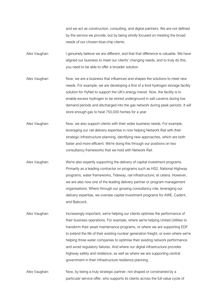and we act as construction, consulting, and digital partners. We are not defined by the service we provide, but by being wholly focused on meeting the broad needs of our chosen blue-chip clients.

- Alex Vaughan: I genuinely believe we are different, and that that difference is valuable. We have aligned our business to meet our clients' changing needs, and to truly do this, you need to be able to offer a broader solution.
- Alex Vaughan: Now, we are a business that influences and shapes the solutions to meet new needs. For example, we are developing a first of a kind hydrogen storage facility solution for HyNet to support the UK's energy transit. Now, the facility is to enable excess hydrogen to be stored underground in salt caverns during low demand periods and discharged into the gas network during peak periods. It will store enough gas to heat 750,000 homes for a year.
- Alex Vaughan: Now, we also support clients with their wider business needs. For example, leveraging our rail delivery expertise in now helping Network Rail with their strategic infrastructure planning, identifying new approaches, which are both faster and more efficient. We're doing this through our positions on two consultancy frameworks that we hold with Network Rail.
- Alex Vaughan: We're also expertly supporting the delivery of capital investment programs. Primarily as a leading contractor on programs such as HS2, National Highway programs, water frameworks, Tideway, rail infrastructure, et cetera. However, we are also now one of the leading delivery partner or program management organisations. Where through our growing consultancy role, leveraging our delivery expertise, we oversee capital investment programs for AWE, Cadent, and Babcock.
- Alex Vaughan: Increasingly important, we're helping our clients optimise the performance of their business operations. For example, where we're helping United Utilities to transform their asset maintenance programs, or where we are supporting EDF to extend the life of their existing nuclear generation freight, or even where we're helping three water companies to optimise their existing network performance and avoid regulatory failures. And where our digital infrastructure provides highway safety and resilience, as well as where we are supporting central government in their infrastructure resilience planning.
- Alex Vaughan: Now, by being a truly strategic partner, not shaped or constrained by a particular service offer, who supports its clients across the full value cycle of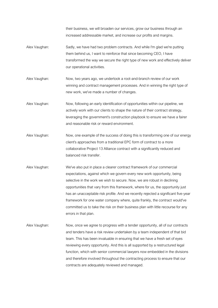their business, we will broaden our services, grow our business through an increased addressable market, and increase our profits and margins.

- Alex Vaughan: Sadly, we have had two problem contracts. And while I'm glad we're putting them behind us, I want to reinforce that since becoming CEO, I have transformed the way we secure the right type of new work and effectively deliver our operational activities.
- Alex Vaughan: Now, two years ago, we undertook a root-and-branch review of our work winning and contract management processes. And in winning the right type of new work, we've made a number of changes.
- Alex Vaughan: Now, following an early identification of opportunities within our pipeline, we actively work with our clients to shape the nature of their contract strategy, leveraging the government's construction playbook to ensure we have a fairer and reasonable risk or reward environment.
- Alex Vaughan: Now, one example of the success of doing this is transforming one of our energy client's approaches from a traditional EPC form of contract to a more collaborative Project 13 Alliance contract with a significantly reduced and balanced risk transfer.
- Alex Vaughan: We've also put in place a clearer contract framework of our commercial expectations, against which we govern every new work opportunity, being selective in the work we wish to secure. Now, we are robust in declining opportunities that vary from this framework, where for us, the opportunity just has an unacceptable risk profile. And we recently rejected a significant five-year framework for one water company where, quite frankly, the contract would've committed us to take the risk on their business plan with little recourse for any errors in that plan.
- Alex Vaughan: Now, once we agree to progress with a tender opportunity, all of our contracts and tenders have a risk review undertaken by a team independent of that bid team. This has been invaluable in ensuring that we have a fresh set of eyes reviewing every opportunity. And this is all supported by a restructured legal function, which with senior commercial lawyers now embedded in the divisions and therefore involved throughout the contracting process to ensure that our contracts are adequately reviewed and managed.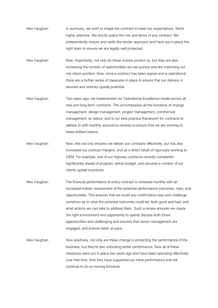- Alex Vaughan: In summary, we work to shape the contract to meet our expectations. We're highly selective. We strictly police the risk and terms of any contract. We independently ensure and verify the tender approach and have put in place the right team to ensure we are legally well protected.
- Alex Vaughan: Now, importantly, not only do these actions protect us, but they are also increasing the number of opportunities we can pursue and are improving our risk return position. Now, once a contract has been signed and is operational, there are a further series of measures in place to ensure that our delivery is assured and unlocks upside potential.
- Alex Vaughan: Two years ago, we implemented our Operational Excellence model across all new and long-term contracts. This encompasses all the functions of change management, design management, project management, commercial management, et cetera, and is our best practice framework for contracts to adhere to with monthly assurance reviews to ensure that we are working to these brilliant basics.
- Alex Vaughan: Now, this not only ensures we deliver our contracts effectively, but has also increased our contract margins, and as a direct result of rigorously working to OEM. For example, one of our highway contracts recently completed significantly ahead of program, below budget, and secured a number of our clients upside incentives.
- Alex Vaughan: The financial performance of every contract is reviewed monthly with an increased holistic assessment of the potential performance outcomes, risks, and opportunities. This ensures that we avoid any confirmation bias and challenge ourselves as to what the potential outcomes could be, both good and bad, and what actions we can take to address them. Such a review ensures we create the right environment and opportunity to openly discuss both those opportunities and challenging and ensures that senior management are engaged, and actions taken at pace.
- Alex Vaughan: Now positively, not only are these change is protecting the performance of the business, but they're also unlocking better performance. Now all of these measures were put in place two years ago and have been operating effectively over that time. And they have supported our inline performance and will continue to do so moving forwards.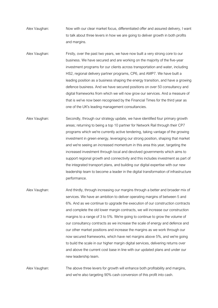Alex Vaughan: Now with our clear market focus, differentiated offer and assured delivery, I want to talk about three levers in how we are going to deliver growth in both profits and margins.

Alex Vaughan: Firstly, over the past two years, we have now built a very strong core to our business. We have secured and are working on the majority of the five-year investment programs for our clients across transportation and water, including HS2, regional delivery partner programs, CP6, and AMP7. We have built a leading position as a business shaping the energy transition, and have a growing defence business. And we have secured positions on over 50 consultancy and digital frameworks from which we will now grow our services. And a measure of that is we've now been recognised by the Financial Times for the third year as one of the UK's leading management consultancies.

Alex Vaughan: Secondly, through our strategy update, we have identified four primary growth areas; returning to being a top 10 partner for Network Rail through their CP7 programs which we're currently active tendering, taking vantage of the growing investment in green energy, leveraging our strong position, shaping that market and we're seeing an increased momentum in this area this year, targeting the increased investment through local and devolved governments which aims to support regional growth and connectivity and this includes investment as part of the integrated transport plans, and building our digital expertise with our new leadership team to become a leader in the digital transformation of infrastructure performance.

Alex Vaughan: And thirdly, through increasing our margins through a better and broader mix of services. We have an ambition to deliver operating margins of between 5 and 6%. And as we continue to upgrade the execution of our construction contracts and complete the old lower margin contracts, we will increase our construction margins to a range of 3 to 5%. We're going to continue to grow the volume of our consultancy contracts as we increase the scale of energy and defence and our other market positions and increase the margins as we work through our now secured frameworks, which have net margins above 5%, and we're going to build the scale in our higher margin digital services, delivering returns over and above the current cost base in line with our updated plans and under our new leadership team.

Alex Vaughan: The above three levers for growth will enhance both profitability and margins, and we're also targeting 90% cash conversion of this profit into cash.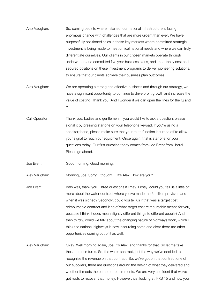- Alex Vaughan: So, coming back to where I started, our national infrastructure is facing enormous change with challenges that are more urgent than ever. We have purposefully positioned sales in those key markets where committed strategic investment is being made to meet critical national needs and where we can truly differentiate ourselves. Our clients in our chosen markets operate through underwritten and committed five year business plans, and importantly cost and secured positions on these investment programs to deliver pioneering solutions, to ensure that our clients achieve their business plan outcomes.
- Alex Vaughan: We are operating a strong and effective business and through our strategy, we have a significant opportunity to continue to drive profit growth and increase the value of costing. Thank you. And I wonder if we can open the lines for the Q and A.
- Call Operator: Thank you. Ladies and gentlemen, if you would like to ask a question, please signal it by pressing star one on your telephone keypad. If you're using a speakerphone, please make sure that your mute function is turned off to allow your signal to reach our equipment. Once again, that is star one for your questions today. Our first question today comes from Joe Brent from liberal. Please go ahead.

Joe Brent: Good morning. Good morning.

Alex Vaughan: Morning, Joe. Sorry. I thought ... It's Alex. How are you?

- Joe Brent: Very well, thank you. Three questions if I may. Firstly, could you tell us a little bit more about the water contract where you've made the 6 million provision and when it was signed? Secondly, could you tell us if that was a target cost reimbursable contract and kind of what target cost reimbursable means for you, because I think it does mean slightly different things to different people? And then thirdly, could we talk about the changing nature of highways work, which I think the national highways is now insourcing some and clear there are other opportunities coming out of it as well.
- Alex Vaughan: Okay. Well morning again, Joe. It's Alex, and thanks for that. So let me take those three in turns. So, the water contract, just the way we've decided to recognise the revenue on that contract. So, we've got on that contract one of our suppliers, there are questions around the design of what they delivered and whether it meets the outcome requirements. We are very confident that we've got roots to recover that money. However, just looking at IFRS 15 and how you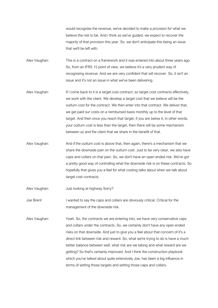would recognise the revenue, we've decided to make a provision for what we believe the risk to be. And I think as we've guided, we expect to recover the majority of that provision this year. So, we don't anticipate this being an issue that we'll be left with.

Alex Vaughan: This is a contract on a framework and it was entered into about three years ago. So, from an IFRS 15 point of view, we believe it's a very prudent way of recognising revenue. And we are very confident that will recover. So, it isn't an issue and it's not an issue in what we've been delivering.

- Alex Vaughan: If I come back to it is a target cost contract, so target cost contracts effectively, we work with the client. We develop a target cost that we believe will be the outturn cost for the contract. We then enter into that contract. We deliver that, we get paid our costs on a reimbursed basis monthly up to the level of that target. And then once you reach that target, if you are below it, in other words, your outturn cost is less than the target, then there will be some mechanism between us and the client that we share in the benefit of that.
- Alex Vaughan: And if the outturn cost is above that, then again, there's a mechanism that we share the downside pain on the outturn cost. Just to be very clear, we also have caps and collars on that pain. So, we don't have an open ended risk. We've got a pretty good way of controlling what the downside risk is on these contracts. So hopefully that gives you a feel for what costing talks about when we talk about target cost contracts.
- Alex Vaughan: Just looking at highway Sorry?

Joe Brent: I wanted to say the caps and collars are obviously critical. Critical for the management of the downside risk.

Alex Vaughan: Yeah. So, the contracts we are entering into, we have very conservative caps and collars under the contracts. So, we certainly don't have any open ended risks on that downside. And just to give you a feel about that concern of it's a direct link between risk and reward. So, what we're trying to do is have a much better balance between well, what risk are we taking and what reward are we getting? So that's certainly improved. And I think the construction playbook which you've talked about quite extensively Joe, has been a big influence in terms of setting those targets and setting those caps and collars.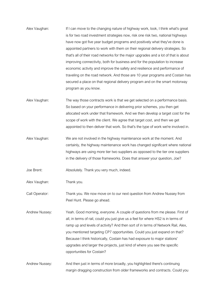- Alex Vaughan: If I can move to the changing nature of highway work, look, I think what's great is for two road investment strategies now, risk one risk two, national highways have now got five year budget programs and positively what they've done is appointed partners to work with them on their regional delivery strategies. So that's all of their road networks for the major upgrades and a lot of that is about improving connectivity, both for business and for the population to increase economic activity and improve the safety and resilience and performance of traveling on the road network. And those are 10 year programs and Costain has secured a place on that regional delivery program and on the smart motorway program as you know.
- Alex Vaughan: The way those contracts work is that we get selected on a performance basis. So based on your performance in delivering prior schemes, you then get allocated work under that framework. And we then develop a target cost for the scope of work with the client. We agree that target cost, and then we get appointed to then deliver that work. So that's the type of work we're involved in.
- Alex Vaughan: We are not involved in the highway maintenance work at the moment. And certainly, the highway maintenance work has changed significant where national highways are using more tier two suppliers as opposed to the tier one suppliers in the delivery of those frameworks. Does that answer your question, Joe?

Joe Brent: Absolutely. Thank you very much, indeed.

Alex Vaughan: Thank you.

Call Operator: Thank you. We now move on to our next question from Andrew Nussey from Peel Hunt. Please go ahead.

Andrew Nussey: Yeah. Good morning, everyone. A couple of questions from me please. First of all, in terms of rail, could you just give us a feel for where HS2 is in terms of ramp up and levels of activity? And then sort of in terms of Network Rail, Alex, you mentioned targeting CP7 opportunities. Could you just expand on that? Because I think historically, Costain has had exposure to major stations' upgrades and larger the projects, just kind of where you see the specific opportunities for Costain?

Andrew Nussey: And then just in terms of more broadly, you highlighted there's continuing margin dragging construction from older frameworks and contracts. Could you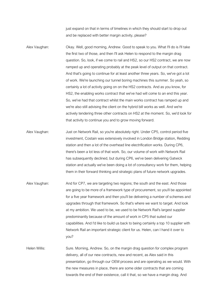just expand on that in terms of timelines in which they should start to drop out and be replaced with better margin activity, please?

Alex Vaughan: Okay. Well, good morning, Andrew. Good to speak to you. What I'll do is I'll take the first two of those, and then I'll ask Helen to respond to the margin drag question. So, look, if we come to rail and HS2, so our HS2 contract, we are now ramped up and operating probably at the peak level of output on that contract. And that's going to continue for at least another three years. So, we've got a lot of work. We're launching our tunnel boring machines this summer. So yeah, so certainly a lot of activity going on on the HS2 contracts. And as you know, for HS2, the enabling works contract that we've had will come to an end this year. So, we've had that contract whilst the main works contract has ramped up and we're also still advising the client on the hybrid bill works as well. And we're actively tendering three other contracts on HS2 at the moment. So, we'd look for that activity to continue you and to grow moving forward.

Alex Vaughan: Just on Network Rail, so you're absolutely right. Under CP5, control period five investment, Costain was extensively involved in London Bridge station, Redding station and then a lot of the overhead line electrification works. During CP6, there's been a lot less of that work. So, our volume of work with Network Rail has subsequently declined, but during CP6, we've been delivering Gatwick station and actually we've been doing a lot of consultancy work for them, helping them in their forward thinking and strategic plans of future network upgrades.

Alex Vaughan: And for CP7, we are targeting two regions; the south and the east. And those are going to be more of a framework type of procurement, so you'll be appointed for a five year framework and then you'll be delivering a number of schemes and upgrades through that framework. So that's where we want to target. And look at my ambition. We used to be, we used to be Network Rail's largest supplier predominantly because of the amount of work in CP5 that suited our capabilities. And I'd like to build us back to being certainly a top 10 supplier with Network Rail an important strategic client for us. Helen, can I hand it over to you?

Helen Willis: Sure. Morning, Andrew. So, on the margin drag question for complex program delivery, all of our new contracts, new and recent, as Alex said in this presentation, go through our OEM process and are operating as we would. With the new measures in place, there are some older contracts that are coming towards the end of their existence, call it that, so we have a margin drag. And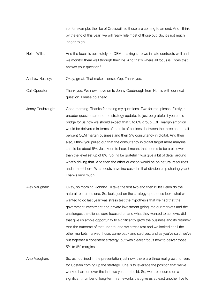so, for example, the like of Crossrail, so those are coming to an end. And I think by the end of this year, we will really rule most of those out. So, it's not much longer to go.

Helen Willis: And the focus is absolutely on OEM, making sure we initiate contracts well and we monitor them well through their life. And that's where all focus is. Does that answer your question?

Andrew Nussey: Okay, great. That makes sense. Yep. Thank you.

Call Operator: Thank you. We now move on to Jonny Coubrough from Numis with our next question. Please go ahead.

- Jonny Coubrough: Good morning. Thanks for taking my questions. Two for me, please. Firstly, a broader question around the strategy update. I'd just be grateful if you could bridge for us how we should expect that 5 to 6% group EBIT margin ambition would be delivered in terms of the mix of business between the three and a half percent OEM margin business and then 5% consultancy in digital. And then also, I think you pulled out that the consultancy in digital target more margins should be about 5%. Just keen to hear, I mean, that seems to be a bit lower than the level set up of 8%. So, I'd be grateful if you give a bit of detail around what's driving that. And then the other question would be on natural resources and interest here. What costs have increased in that division chip sharing year? Thanks very much.
- Alex Vaughan: Okay, so morning, Johnny. I'll take the first two and then I'll let Helen do the natural resources one. So, look, just on the strategy update, so look, what we wanted to do last year was stress test the hypothesis that we had that the government investment and private investment going into our markets and the challenges the clients were focused on and what they wanted to achieve, did that give us ample opportunity to significantly grow the business and its returns? And the outcome of that update, and we stress test and we looked at all the other markets, ranked those, came back and said yes, and as you've said, we've put together a consistent strategy, but with clearer focus now to deliver those 5% to 6% margins.
- Alex Vaughan: So, as I outlined in the presentation just now, there are three real growth drivers for Costain coming up the strategy. One is to leverage the position that we've worked hard on over the last two years to build. So, we are secured on a significant number of long-term frameworks that give us at least another five to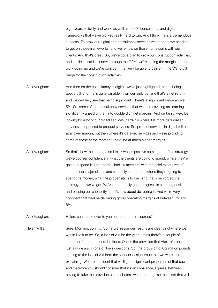eight years visibility and work, as well as the 50 consultancy and digital frameworks that we've worked really hard to win. And I think that's a tremendous success. To grow our digital and consultancy services we need to, we needed to get on those frameworks, and we're now on those frameworks with our clients. And that's great. So, we've got a plan to grow our construction activities, and as Helen said just now, through the OEM, we're seeing the margins on that work going up and we're confident that we'll be able to deliver in the 3% to 5% range for the construction activities.

- Alex Vaughan: And then on the consultancy in digital, we've just highlighted that as being above 5% and that's quite variable. It will certainly be, and that's a net return, and we certainly see that being significant. There's a significant range above 5%. So, some of the consultancy services that we are providing are earning significantly ahead of that, into double digit net margins. And certainly, we'd be looking for a lot of our digital services, certainly where it is more data-based services as opposed to product services. So, product services in digital will be at a lower margin, but then where it's data-led services and we're providing some of those at the moment, they'll be at much higher margins.
- Alex Vaughan: So that's how the strategy, so I think what's positive coming out of the strategy, we've got real confidence in what the clients are going to spend, where they're going to spend it. Last month I had 10 meetings with the chief executives of some of our major clients and we really understand where they're going to spend the money, what the propensity is to buy, and that's reinforced the strategy that we've got. We've made really good progress in securing positions and building our capability and it's now about delivering it. And we're very confident that we'll be delivering group operating margins of between 5% and 6%.

Alex Vaughan: Helen, can I hand over to you on the natural resources?

Helen Willis: Sure. Morning, Johnny. So natural resources results are clearly not where we would like it to be. So, a loss of 2.6 for the year. I think there's a couple of important factors to consider there. One is the provision that Alex referenced just a while ago in one of Joe's questions. So, the provision of 6.2 million pounds leading to the loss of 2.6 from the supplier design issue that we were just explaining. We are confident that we'll get a significant proportion of that back and therefore you should consider that it's an imbalance, I guess, between having to take the provision on cost before we can recognise the asset that will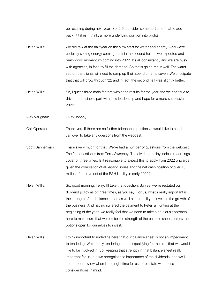be resulting during next year. So, 2.6, consider some portion of that to add back, it takes, I think, a more underlying position into profits.

- Helen Willis: We did talk at the half year on the slow start for water and energy. And we're certainly seeing energy coming back in the second half as we expected and really good momentum coming into 2022. It's all consultancy and we are busy with agencies, in fact, to fill the demand. So that's going really well. The water sector, the clients will need to ramp up their spend on amp seven. We anticipate that that will grow through '22 and in fact, the second half was slightly better.
- Helen Willis: So, I guess three main factors within the results for the year and we continue to drive that business part with new leadership and hope for a more successful 2022.

Alex Vaughan: Okay Johnny.

Call Operator: Thank you. If there are no further telephone questions, I would like to hand the call over to take any questions from the webcast.

- Scott Bannerman: Thanks very much for that. We've had a number of questions from the webcast. The first question is from Terry Sweeney. The dividend policy indicates earnings cover of three times. Is it reasonable to expect this to apply from 2022 onwards given the completion of all legacy issues and the net cash position of over 75 million after payment of the P&H liability in early 2022?
- Helen Willis: So, good morning, Terry, I'll take that question. So yes, we've restated our dividend policy as of three times, as you say. For us, what's really important is the strength of the balance sheet, as well as our ability to invest in the growth of the business. And having suffered the payment to Peter & Hunting at the beginning of the year, we really feel that we need to take a cautious approach here to make sure that we bolster the strength of the balance sheet, unless the options open for ourselves to invest.
- Helen Willis: I think important to underline here that our balance sheet is not an impediment to tendering. We're busy tendering and pre-qualifying for the bids that we would like to be involved in. So, keeping that strength in that balance sheet really important for us, but we recognise the importance of the dividends, and we'll keep under review when is the right time for us to reinstate with those considerations in mind.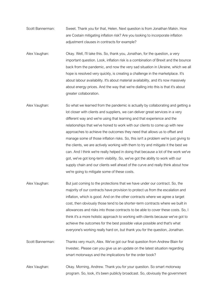- Scott Bannerman: Sweet. Thank you for that, Helen. Next question is from Jonathan Makin. How are Costain mitigating inflation risk? Are you looking to incorporate inflation adjustment clauses in contracts for example?
- Alex Vaughan: Okay. Well, I'll take this. So, thank you, Jonathan, for the question, a very important question. Look, inflation risk is a combination of Brexit and the bounce back from the pandemic, and now the very sad situation in Ukraine, which we all hope is resolved very quickly, is creating a challenge in the marketplace. It's about labour availability. It's about material availability, and it's now massively about energy prices. And the way that we're dialling into this is that it's about greater collaboration.
- Alex Vaughan: So what we learned from the pandemic is actually by collaborating and getting a lot closer with clients and suppliers, we can deliver great services in a very different way and we're using that learning and that experience and the relationships that we've honed to work with our clients to come up with new approaches to achieve the outcomes they need that allows us to offset and manage some of those inflation risks. So, this isn't a problem we're just giving to the clients, we are actively working with them to try and mitigate it the best we can. And I think we're really helped in doing that because a lot of the work we've got, we've got long-term visibility. So, we've got the ability to work with our supply chain and our clients well ahead of the curve and really think about how we're going to mitigate some of these costs.
- Alex Vaughan: But just coming to the protections that we have under our contract. So, the majority of our contracts have provision to protect us from the escalation and inflation, which is good. And on the other contracts where we agree a target cost, then obviously those tend to be shorter-term contracts where we built in allowances and risks into those contracts to be able to cover these costs. So, I think it's a more holistic approach to working with clients because we've got to achieve the outcomes for the best possible value possible and that's what everyone's working really hard on, but thank you for the question, Jonathan.
- Scott Bannerman: Thanks very much, Alex. We've got our final question from Andrew Blain for Investec. Please can you give us an update on the latest situation regarding smart motorways and the implications for the order book?
- Alex Vaughan: Okay. Morning, Andrew. Thank you for your question. So smart motorway program. So, look, it's been publicly broadcast. So, obviously the government